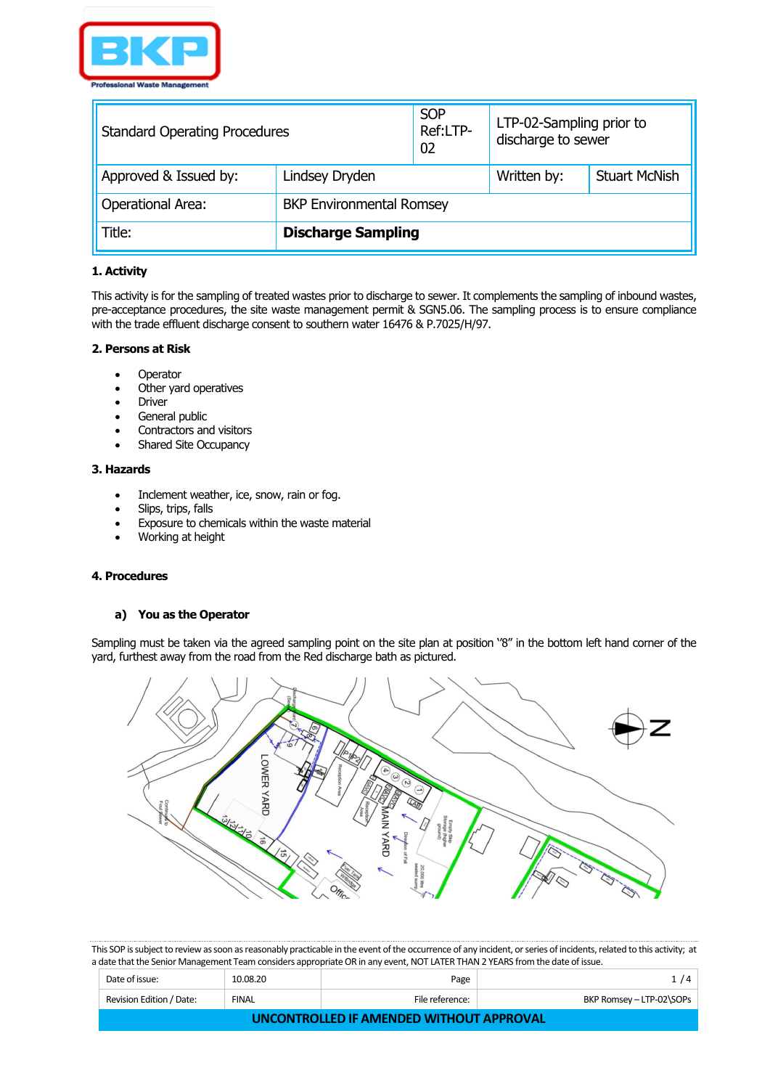

| <b>Standard Operating Procedures</b> |                                 | <b>SOP</b><br>Ref:LTP-<br>02 | LTP-02-Sampling prior to<br>discharge to sewer |                      |
|--------------------------------------|---------------------------------|------------------------------|------------------------------------------------|----------------------|
| Approved & Issued by:                | Lindsey Dryden                  |                              | Written by:                                    | <b>Stuart McNish</b> |
| <b>Operational Area:</b>             | <b>BKP Environmental Romsey</b> |                              |                                                |                      |
| Title:                               | <b>Discharge Sampling</b>       |                              |                                                |                      |

## **1. Activity**

This activity is for the sampling of treated wastes prior to discharge to sewer. It complements the sampling of inbound wastes, pre-acceptance procedures, the site waste management permit & SGN5.06. The sampling process is to ensure compliance with the trade effluent discharge consent to southern water 16476 & P.7025/H/97.

#### **2. Persons at Risk**

- Operator
- Other yard operatives
- **Driver**
- General public
- Contractors and visitors
- Shared Site Occupancy

#### **3. Hazards**

- Inclement weather, ice, snow, rain or fog.
- Slips, trips, falls
- Exposure to chemicals within the waste material
- Working at height

# **4. Procedures**

#### **a) You as the Operator**

Sampling must be taken via the agreed sampling point on the site plan at position ''8'' in the bottom left hand corner of the yard, furthest away from the road from the Red discharge bath as pictured.



| Date of issue:                           | 10.08.20     | Page            | 1/4                      |  |
|------------------------------------------|--------------|-----------------|--------------------------|--|
| Revision Edition / Date:                 | <b>FINAL</b> | File reference: | BKP Romsey - LTP-02\SOPs |  |
| UNCONTROLLED IF AMENDED WITHOUT APPROVAL |              |                 |                          |  |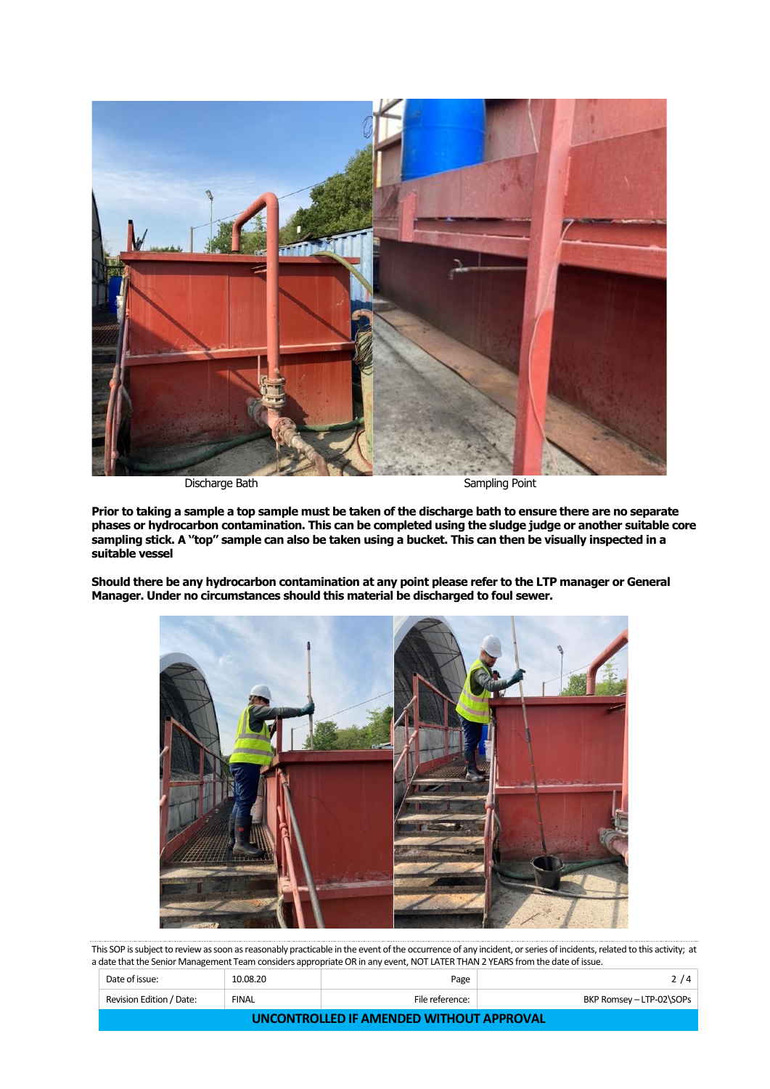

Discharge Bath Sampling Point

**Prior to taking a sample a top sample must be taken of the discharge bath to ensure there are no separate phases or hydrocarbon contamination. This can be completed using the sludge judge or another suitable core sampling stick. A ''top'' sample can also be taken using a bucket. This can then be visually inspected in a suitable vessel**

**Should there be any hydrocarbon contamination at any point please refer to the LTP manager or General Manager. Under no circumstances should this material be discharged to foul sewer.**



| Date of issue:                           | 10.08.20 | Page            | 2/4                      |  |
|------------------------------------------|----------|-----------------|--------------------------|--|
| Revision Edition / Date:                 | FINAL    | File reference: | BKP Romsey - LTP-02\SOPs |  |
| UNCONTROLLED IF AMENDED WITHOUT APPROVAL |          |                 |                          |  |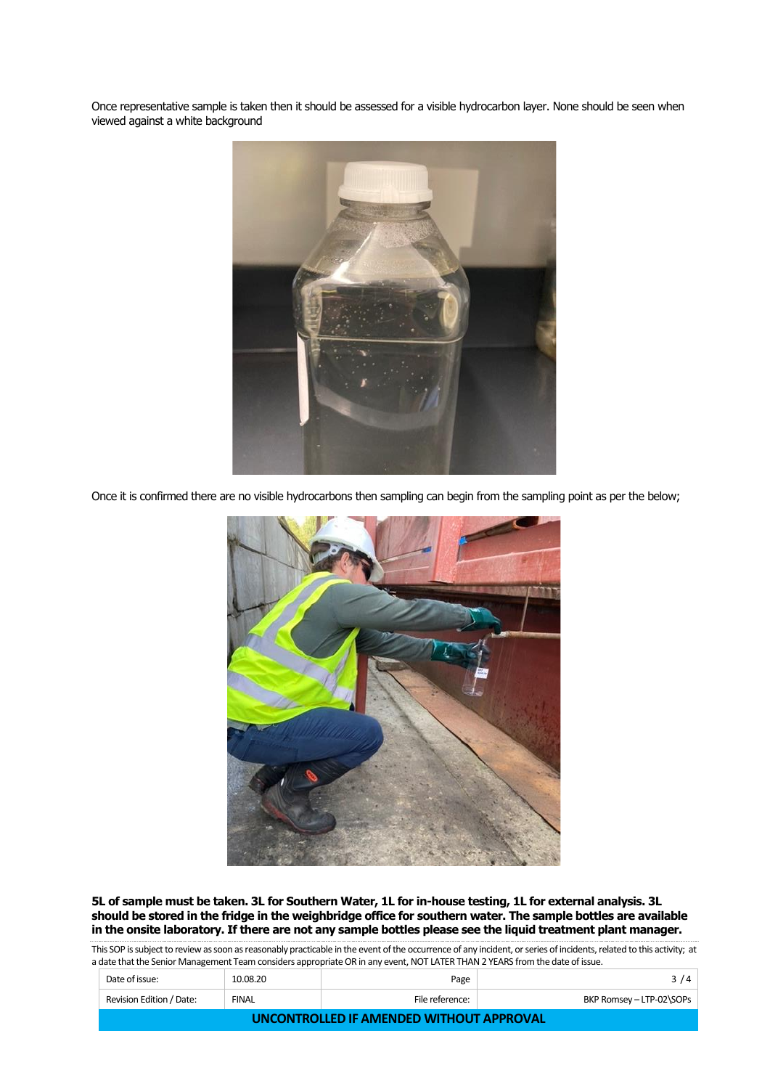Once representative sample is taken then it should be assessed for a visible hydrocarbon layer. None should be seen when viewed against a white background



Once it is confirmed there are no visible hydrocarbons then sampling can begin from the sampling point as per the below;



**5L of sample must be taken. 3L for Southern Water, 1L for in-house testing, 1L for external analysis. 3L should be stored in the fridge in the weighbridge office for southern water. The sample bottles are available in the onsite laboratory. If there are not any sample bottles please see the liquid treatment plant manager.**

| Date of issue:                           | 10.08.20     | Page            | 3/4                      |  |
|------------------------------------------|--------------|-----------------|--------------------------|--|
| Revision Edition / Date:                 | <b>FINAL</b> | File reference: | BKP Romsey - LTP-02\SOPs |  |
| UNCONTROLLED IF AMENDED WITHOUT APPROVAL |              |                 |                          |  |